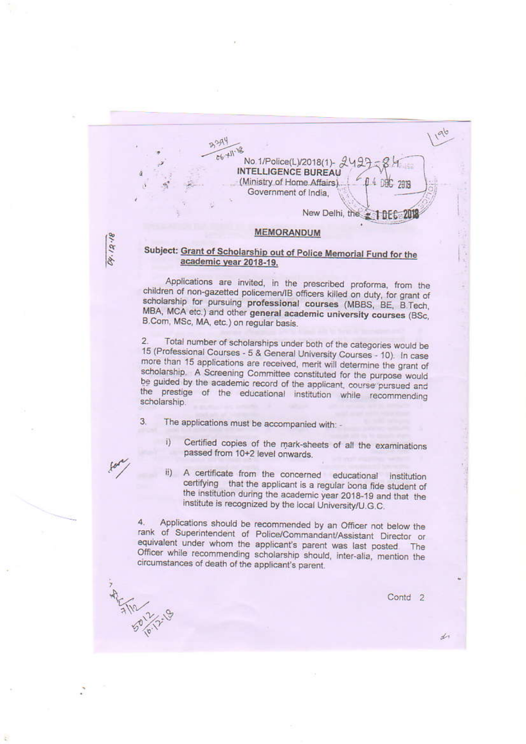No.1/Police(L)/2018(1)-**INTELLIGENCE BUREAU** (Ministry of Home Affairs) Government of India,

New Delhi, the **10EC 201** 

4 DBC 2018

#### **MEMORANDUM**

#### Subject: Grant of Scholarship out of Police Memorial Fund for the academic year 2018-19.

Applications are invited, in the prescribed proforma, from the children of non-gazetted policemen/IB officers killed on duty, for grant of scholarship for pursuing professional courses (MBBS, BE, B.Tech, MBA, MCA etc.) and other general academic university courses (BSc, B.Com, MSc, MA, etc.) on regular basis.

Total number of scholarships under both of the categories would be  $2.$ 15 (Professional Courses - 5 & General University Courses - 10). In case more than 15 applications are received, merit will determine the grant of scholarship. A Screening Committee constituted for the purpose would be guided by the academic record of the applicant, course pursued and the prestige of the educational institution while recommending scholarship.

3. The applications must be accompanied with: -

23A4  $66 + 11$ 

04.12.18

5110 12/2-19

Certified copies of the mark-sheets of all the examinations i) passed from 10+2 level onwards.

A certificate from the concerned educational institution  $\overline{u}$ certifying that the applicant is a regular bona fide student of the institution during the academic year 2018-19 and that the institute is recognized by the local University/U.G.C.

Applications should be recommended by an Officer not below the 4. rank of Superintendent of Police/Commandant/Assistant Director or equivalent under whom the applicant's parent was last posted The Officer while recommending scholarship should, inter-alia, mention the circumstances of death of the applicant's parent.

Contd<sub>2</sub>

 $\frac{1}{2}$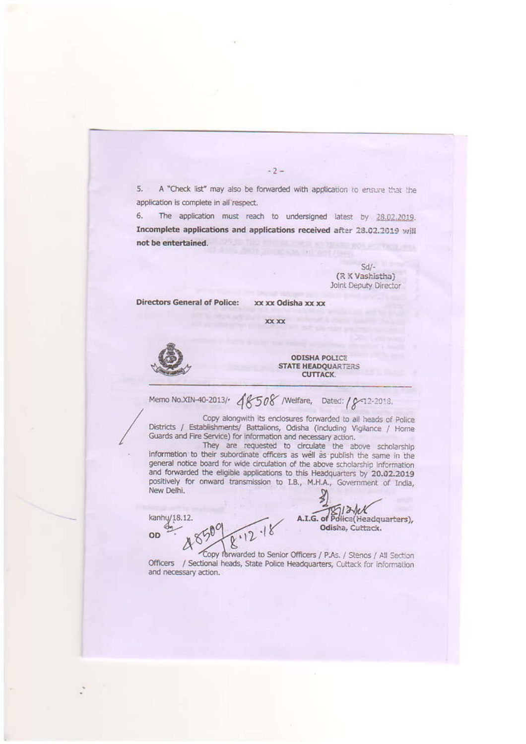A "Check list" may also be forwarded with application to ensure that the 5. application is complete in all'respect.

 $-2-$ 

The application must reach to undersigned latest by 28.02.2019. 6. Incomplete applications and applications received after 28.02.2019 will not be entertained.

> $Sd$ -(R K Vashistha) Joint Deputy Director

**Directors General of Police:** xx xx Odisha xx xx

XX XX

**ODISHA POLICE STATE HEADQUARTERS CUTTACK.** 

Memo No.XIN-40-2013/ 48508 / Welfare, Dated: / 8-12-2018.

Copy alongwith its enclosures forwarded to all heads of Police Districts / Establishments/ Battalions, Odisha (including Vigilance / Home Guards and Fire Service) for information and necessary action.

They are requested to circulate the above scholarship information to their subordinate officers as well as publish the same in the general notice board for wide circulation of the above scholarship information and forwarded the eligible applications to this Headquarters by 20.02.2019 positively for onward transmission to I.B., M.H.A., Government of India, New Delhi.

kanhu/18.12. OD

 $13$ A.I.G. of Police(Headquarters), Odisha, Cuttack.

Copy forwarded to Senior Officers / P.As. / Stenos / All Section Officers / Sectional heads, State Police Headquarters, Cuttack for information and necessary action.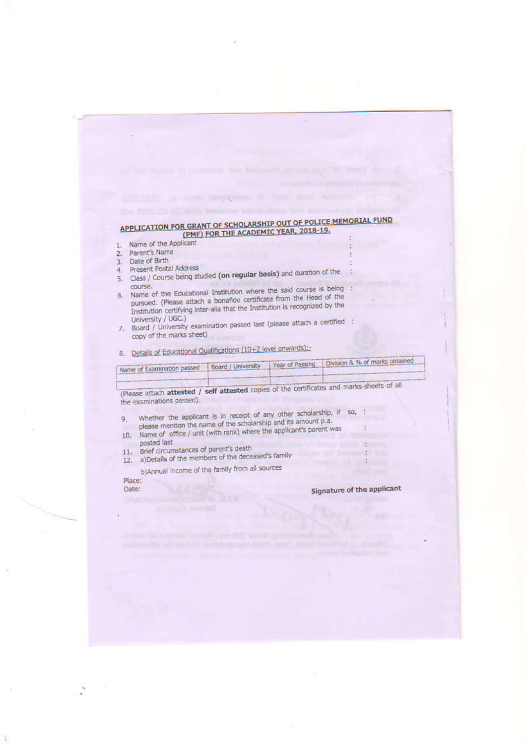### APPLICATION FOR GRANT OF SCHOLARSHIP OUT OF POLICE MEMORIAL FUND (PMF) FOR THE ACADEMIC YEAR, 2018-19.

- Name of the Applicant  $\mathbf{t}$
- Parent's Name  $\overline{2}$ .
- Date of Birth  $\mathbf{R}$
- 4. Present Postal Address
- 5. Class / Course being studied (on regular basis) and duration of the
- 6. Name of the Educational Institution where the said course is being : pursued. (Please attach a bonafide certificate from the Head of the Institution certifying inter-alia that the Institution is recognized by the University / UGC.)
- 7. Board / University examination passed last (please attach a certified : copy of the marks sheet)
- 8. Details of Educational Qualifications (10+2 level onwards):

| Name of Examination passed | Board / University Year of Passing Line | Division & % of marks outained |
|----------------------------|-----------------------------------------|--------------------------------|
|                            |                                         |                                |
|                            |                                         |                                |

(Please attach attested / self attested copies of the certificates and marks-sheets of all the examinations passed).

Whether the applicant is in receipt of any other scholarship, if  $so$ , please mention the name of the scholarship and its amount p.a. 9.

- 10. Name of office / unit (with rank) where the applicant's parent was posted last
- 11. Brief circumstances of parent's death
- 12. a)Details of the members of the deceased's family

b)Annual income of the family from all sources

Place: Date:

### Signature of the applicant